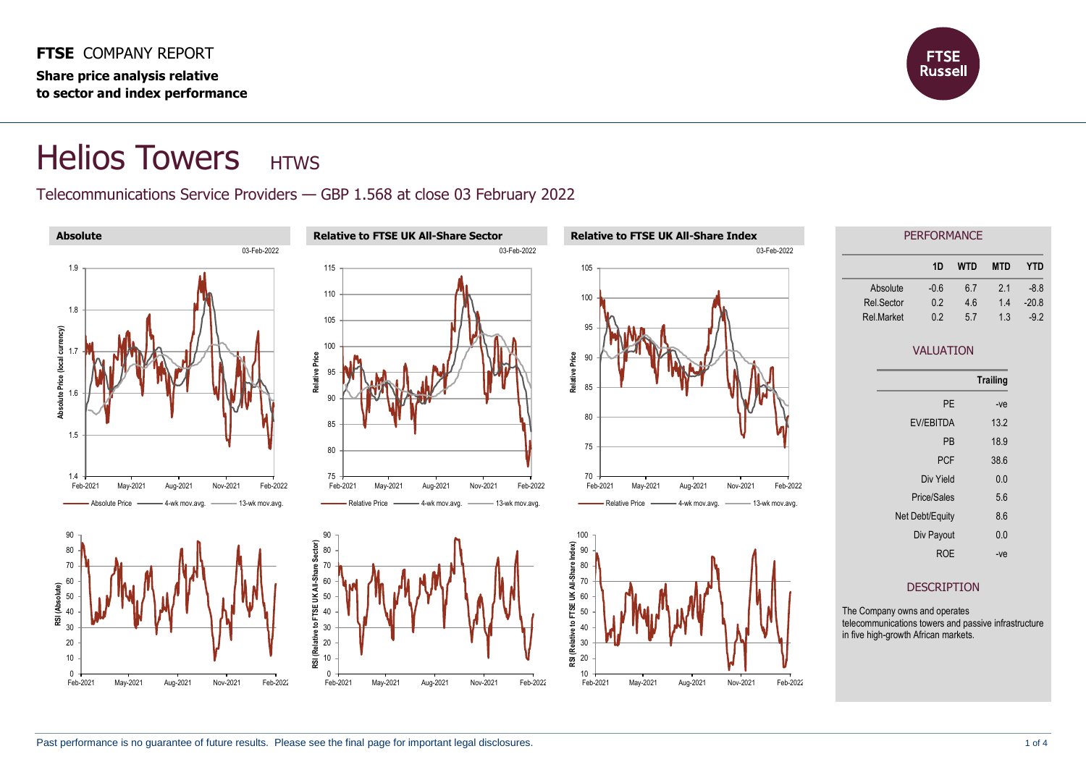

## Helios Towers HTWS

## Telecommunications Service Providers — GBP 1.568 at close 03 February 2022

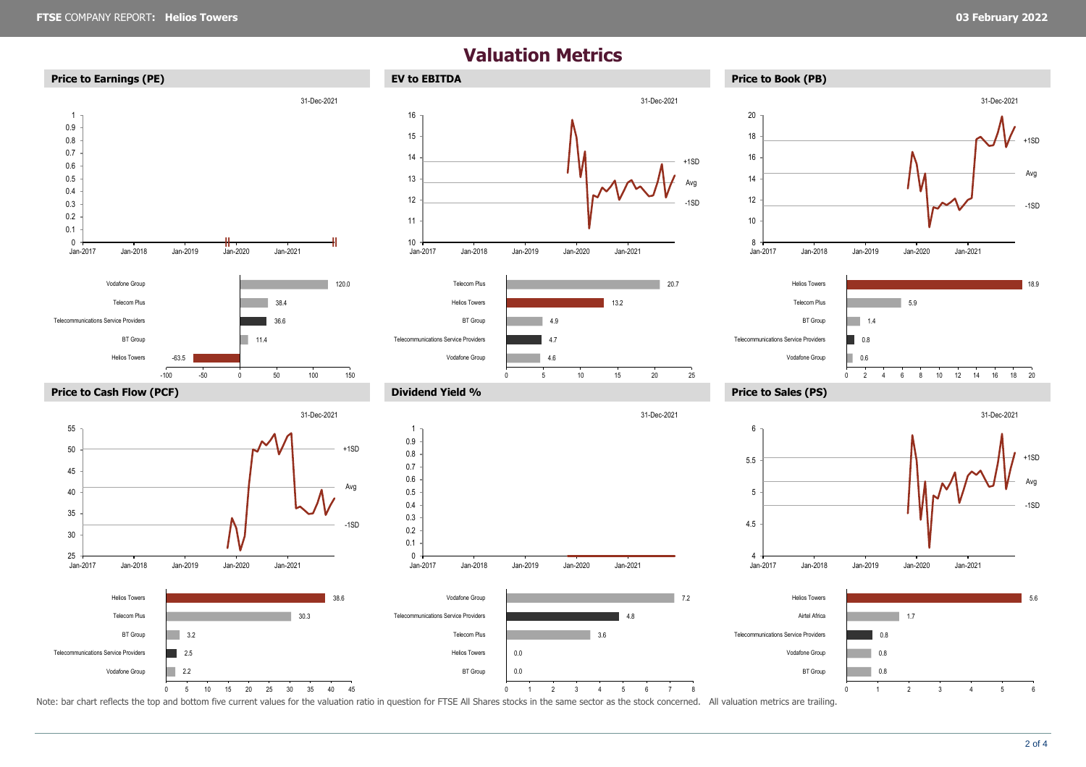## **Valuation Metrics**



Note: bar chart reflects the top and bottom five current values for the valuation ratio in question for FTSE All Shares stocks in the same sector as the stock concerned. All valuation metrics are trailing.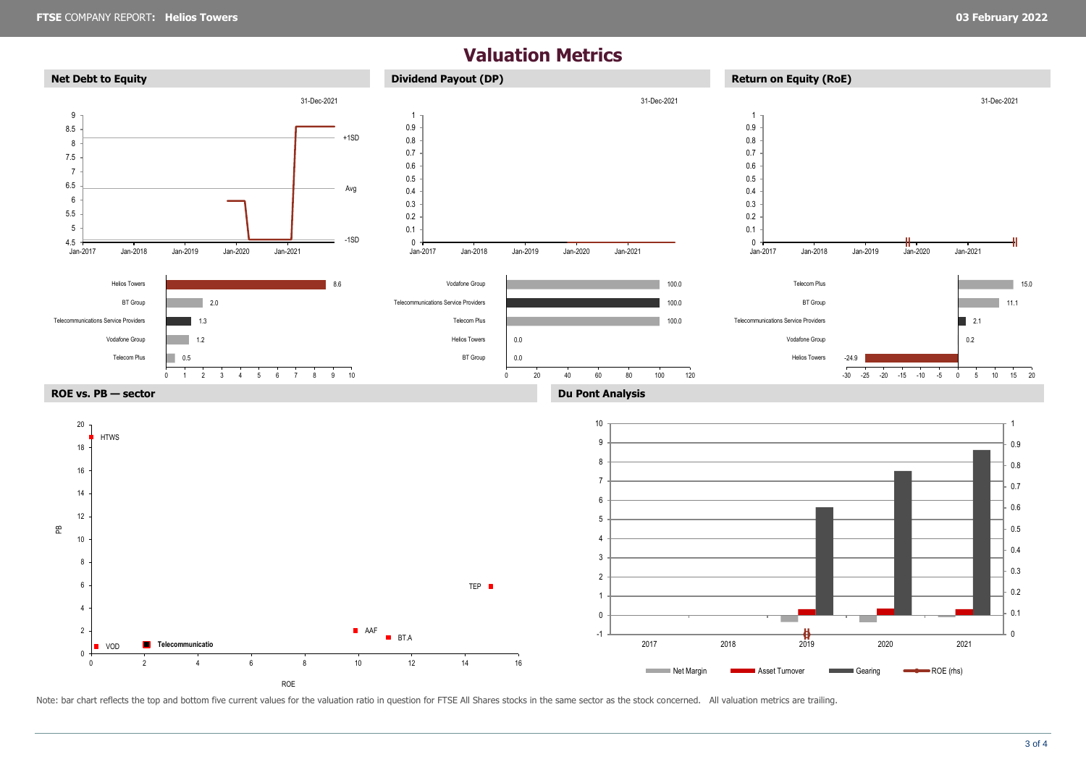## **Valuation Metrics**



Note: bar chart reflects the top and bottom five current values for the valuation ratio in question for FTSE All Shares stocks in the same sector as the stock concerned. All valuation metrics are trailing.